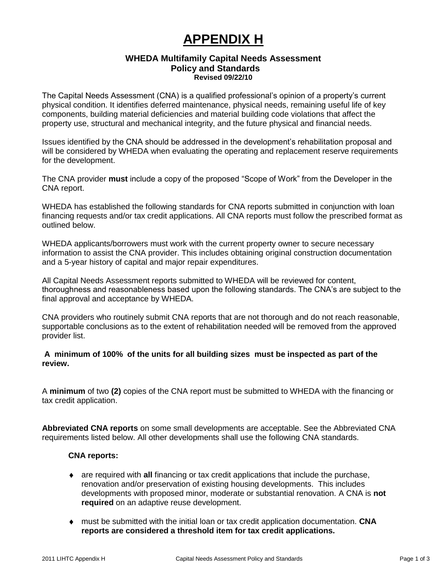# **APPENDIX H**

#### **WHEDA Multifamily Capital Needs Assessment Policy and Standards Revised 09/22/10**

The Capital Needs Assessment (CNA) is a qualified professional's opinion of a property's current physical condition. It identifies deferred maintenance, physical needs, remaining useful life of key components, building material deficiencies and material building code violations that affect the property use, structural and mechanical integrity, and the future physical and financial needs.

Issues identified by the CNA should be addressed in the development's rehabilitation proposal and will be considered by WHEDA when evaluating the operating and replacement reserve requirements for the development.

The CNA provider **must** include a copy of the proposed "Scope of Work" from the Developer in the CNA report.

WHEDA has established the following standards for CNA reports submitted in conjunction with loan financing requests and/or tax credit applications. All CNA reports must follow the prescribed format as outlined below.

WHEDA applicants/borrowers must work with the current property owner to secure necessary information to assist the CNA provider. This includes obtaining original construction documentation and a 5-year history of capital and major repair expenditures.

All Capital Needs Assessment reports submitted to WHEDA will be reviewed for content, thoroughness and reasonableness based upon the following standards. The CNA's are subject to the final approval and acceptance by WHEDA.

CNA providers who routinely submit CNA reports that are not thorough and do not reach reasonable, supportable conclusions as to the extent of rehabilitation needed will be removed from the approved provider list.

## **A minimum of 100% of the units for all building sizes must be inspected as part of the review.**

A **minimum** of two **(2)** copies of the CNA report must be submitted to WHEDA with the financing or tax credit application.

**Abbreviated CNA reports** on some small developments are acceptable. See the Abbreviated CNA requirements listed below. All other developments shall use the following CNA standards.

## **CNA reports:**

- are required with **all** financing or tax credit applications that include the purchase,  $\bullet$ renovation and/or preservation of existing housing developments. This includes developments with proposed minor, moderate or substantial renovation. A CNA is **not required** on an adaptive reuse development.
- must be submitted with the initial loan or tax credit application documentation. **CNA**   $\bullet$ **reports are considered a threshold item for tax credit applications.**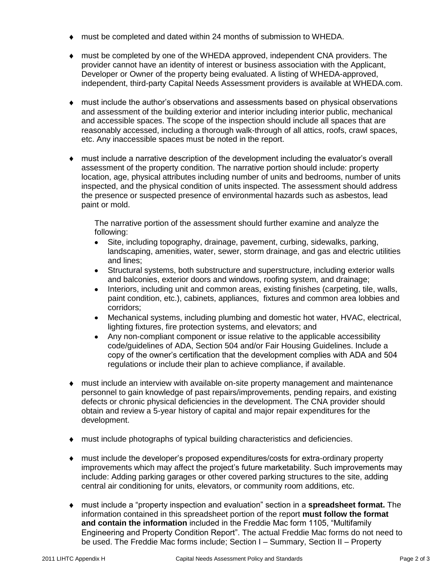- must be completed and dated within 24 months of submission to WHEDA.
- must be completed by one of the WHEDA approved, independent CNA providers. The provider cannot have an identity of interest or business association with the Applicant, Developer or Owner of the property being evaluated. A listing of WHEDA-approved, independent, third-party Capital Needs Assessment providers is available at WHEDA.com.
- must include the author's observations and assessments based on physical observations  $\bullet$ and assessment of the building exterior and interior including interior public, mechanical and accessible spaces. The scope of the inspection should include all spaces that are reasonably accessed, including a thorough walk-through of all attics, roofs, crawl spaces, etc. Any inaccessible spaces must be noted in the report.
- must include a narrative description of the development including the evaluator's overall  $\bullet$ assessment of the property condition. The narrative portion should include: property location, age, physical attributes including number of units and bedrooms, number of units inspected, and the physical condition of units inspected. The assessment should address the presence or suspected presence of environmental hazards such as asbestos, lead paint or mold.

The narrative portion of the assessment should further examine and analyze the following:

- Site, including topography, drainage, pavement, curbing, sidewalks, parking, landscaping, amenities, water, sewer, storm drainage, and gas and electric utilities and lines;
- Structural systems, both substructure and superstructure, including exterior walls and balconies, exterior doors and windows, roofing system, and drainage;
- Interiors, including unit and common areas, existing finishes (carpeting, tile, walls,  $\bullet$ paint condition, etc.), cabinets, appliances, fixtures and common area lobbies and corridors;
- Mechanical systems, including plumbing and domestic hot water, HVAC, electrical,  $\bullet$ lighting fixtures, fire protection systems, and elevators; and
- Any non-compliant component or issue relative to the applicable accessibility  $\bullet$ code/guidelines of ADA, Section 504 and/or Fair Housing Guidelines. Include a copy of the owner's certification that the development complies with ADA and 504 regulations or include their plan to achieve compliance, if available.
- must include an interview with available on-site property management and maintenance personnel to gain knowledge of past repairs/improvements, pending repairs, and existing defects or chronic physical deficiencies in the development. The CNA provider should obtain and review a 5-year history of capital and major repair expenditures for the development.
- must include photographs of typical building characteristics and deficiencies.
- must include the developer's proposed expenditures/costs for extra-ordinary property  $\bullet$ improvements which may affect the project's future marketability. Such improvements may include: Adding parking garages or other covered parking structures to the site, adding central air conditioning for units, elevators, or community room additions, etc.
- must include a "property inspection and evaluation" section in a **spreadsheet format.** The  $\bullet$ information contained in this spreadsheet portion of the report **must follow the format and contain the information** included in the Freddie Mac form 1105, "Multifamily Engineering and Property Condition Report". The actual Freddie Mac forms do not need to be used. The Freddie Mac forms include; Section I – Summary, Section II – Property